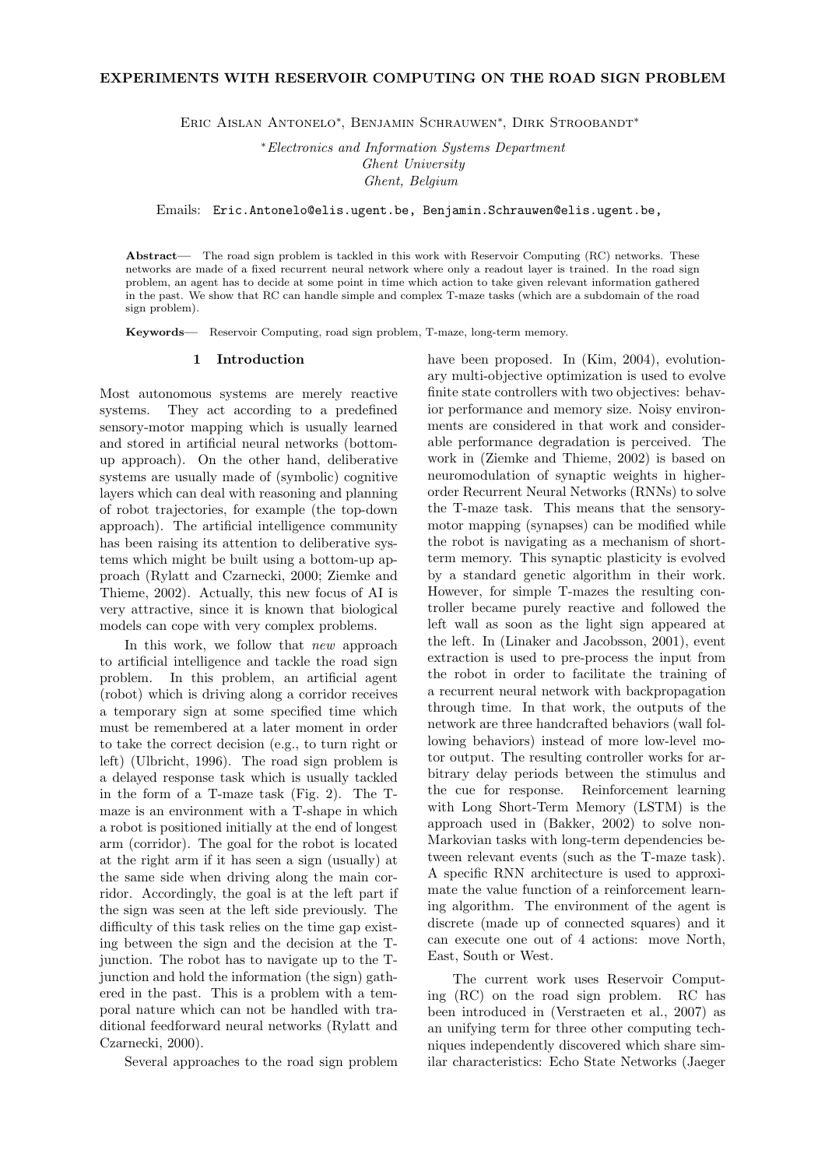ERIC AISLAN ANTONELO<sup>\*</sup>, BENJAMIN SCHRAUWEN<sup>\*</sup>, DIRK STROOBANDT<sup>\*</sup>

<sup>∗</sup>Electronics and Information Systems Department Ghent University Ghent, Belgium

Emails: Eric.Antonelo@elis.ugent.be, Benjamin.Schrauwen@elis.ugent.be,

Abstract— The road sign problem is tackled in this work with Reservoir Computing (RC) networks. These networks are made of a fixed recurrent neural network where only a readout layer is trained. In the road sign problem, an agent has to decide at some point in time which action to take given relevant information gathered in the past. We show that RC can handle simple and complex T-maze tasks (which are a subdomain of the road sign problem).

Keywords— Reservoir Computing, road sign problem, T-maze, long-term memory.

### 1 Introduction

Most autonomous systems are merely reactive systems. They act according to a predefined sensory-motor mapping which is usually learned and stored in artificial neural networks (bottomup approach). On the other hand, deliberative systems are usually made of (symbolic) cognitive layers which can deal with reasoning and planning of robot trajectories, for example (the top-down approach). The artificial intelligence community has been raising its attention to deliberative systems which might be built using a bottom-up approach (Rylatt and Czarnecki, 2000; Ziemke and Thieme, 2002). Actually, this new focus of AI is very attractive, since it is known that biological models can cope with very complex problems.

In this work, we follow that new approach to artificial intelligence and tackle the road sign problem. In this problem, an artificial agent (robot) which is driving along a corridor receives a temporary sign at some specified time which must be remembered at a later moment in order to take the correct decision (e.g., to turn right or left) (Ulbricht, 1996). The road sign problem is a delayed response task which is usually tackled in the form of a T-maze task (Fig. 2). The Tmaze is an environment with a T-shape in which a robot is positioned initially at the end of longest arm (corridor). The goal for the robot is located at the right arm if it has seen a sign (usually) at the same side when driving along the main corridor. Accordingly, the goal is at the left part if the sign was seen at the left side previously. The difficulty of this task relies on the time gap existing between the sign and the decision at the Tjunction. The robot has to navigate up to the Tjunction and hold the information (the sign) gathered in the past. This is a problem with a temporal nature which can not be handled with traditional feedforward neural networks (Rylatt and Czarnecki, 2000).

Several approaches to the road sign problem

have been proposed. In (Kim, 2004), evolutionary multi-objective optimization is used to evolve finite state controllers with two objectives: behavior performance and memory size. Noisy environments are considered in that work and considerable performance degradation is perceived. The work in (Ziemke and Thieme, 2002) is based on neuromodulation of synaptic weights in higherorder Recurrent Neural Networks (RNNs) to solve the T-maze task. This means that the sensorymotor mapping (synapses) can be modified while the robot is navigating as a mechanism of shortterm memory. This synaptic plasticity is evolved by a standard genetic algorithm in their work. However, for simple T-mazes the resulting controller became purely reactive and followed the left wall as soon as the light sign appeared at the left. In (Linaker and Jacobsson, 2001), event extraction is used to pre-process the input from the robot in order to facilitate the training of a recurrent neural network with backpropagation through time. In that work, the outputs of the network are three handcrafted behaviors (wall following behaviors) instead of more low-level motor output. The resulting controller works for arbitrary delay periods between the stimulus and the cue for response. Reinforcement learning with Long Short-Term Memory (LSTM) is the approach used in (Bakker, 2002) to solve non-Markovian tasks with long-term dependencies between relevant events (such as the T-maze task). A specific RNN architecture is used to approximate the value function of a reinforcement learning algorithm. The environment of the agent is discrete (made up of connected squares) and it can execute one out of 4 actions: move North, East, South or West.

The current work uses Reservoir Computing (RC) on the road sign problem. RC has been introduced in (Verstraeten et al., 2007) as an unifying term for three other computing techniques independently discovered which share similar characteristics: Echo State Networks (Jaeger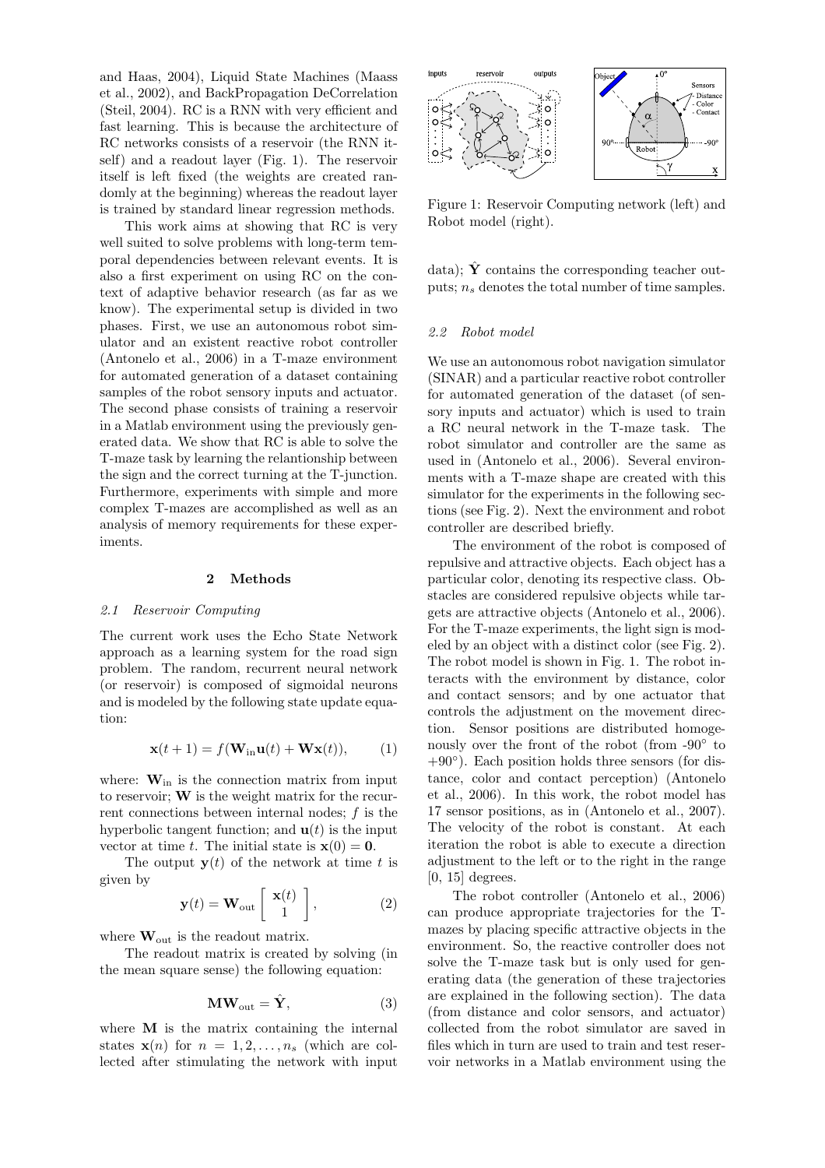and Haas, 2004), Liquid State Machines (Maass et al., 2002), and BackPropagation DeCorrelation (Steil, 2004). RC is a RNN with very efficient and fast learning. This is because the architecture of RC networks consists of a reservoir (the RNN itself) and a readout layer (Fig. 1). The reservoir itself is left fixed (the weights are created randomly at the beginning) whereas the readout layer is trained by standard linear regression methods.

This work aims at showing that RC is very well suited to solve problems with long-term temporal dependencies between relevant events. It is also a first experiment on using RC on the context of adaptive behavior research (as far as we know). The experimental setup is divided in two phases. First, we use an autonomous robot simulator and an existent reactive robot controller (Antonelo et al., 2006) in a T-maze environment for automated generation of a dataset containing samples of the robot sensory inputs and actuator. The second phase consists of training a reservoir in a Matlab environment using the previously generated data. We show that RC is able to solve the T-maze task by learning the relantionship between the sign and the correct turning at the T-junction. Furthermore, experiments with simple and more complex T-mazes are accomplished as well as an analysis of memory requirements for these experiments.

#### 2 Methods

#### 2.1 Reservoir Computing

The current work uses the Echo State Network approach as a learning system for the road sign problem. The random, recurrent neural network (or reservoir) is composed of sigmoidal neurons and is modeled by the following state update equation:

$$
\mathbf{x}(t+1) = f(\mathbf{W}_{\text{in}}\mathbf{u}(t) + \mathbf{W}\mathbf{x}(t)), \qquad (1)
$$

where:  $\mathbf{W}_{in}$  is the connection matrix from input to reservoir; W is the weight matrix for the recurrent connections between internal nodes; f is the hyperbolic tangent function; and  $\mathbf{u}(t)$  is the input vector at time t. The initial state is  $\mathbf{x}(0) = \mathbf{0}$ .

The output  $y(t)$  of the network at time t is given by

$$
\mathbf{y}(t) = \mathbf{W}_{\text{out}} \left[ \begin{array}{c} \mathbf{x}(t) \\ 1 \end{array} \right],\tag{2}
$$

where  $\mathbf{W}_{\text{out}}$  is the readout matrix.

The readout matrix is created by solving (in the mean square sense) the following equation:

$$
\mathbf{MW}_{\text{out}} = \hat{\mathbf{Y}},\tag{3}
$$

where **M** is the matrix containing the internal states  $\mathbf{x}(n)$  for  $n = 1, 2, ..., n_s$  (which are collected after stimulating the network with input



Figure 1: Reservoir Computing network (left) and Robot model (right).

data);  $\hat{Y}$  contains the corresponding teacher outputs;  $n_s$  denotes the total number of time samples.

## 2.2 Robot model

We use an autonomous robot navigation simulator (SINAR) and a particular reactive robot controller for automated generation of the dataset (of sensory inputs and actuator) which is used to train a RC neural network in the T-maze task. The robot simulator and controller are the same as used in (Antonelo et al., 2006). Several environments with a T-maze shape are created with this simulator for the experiments in the following sections (see Fig. 2). Next the environment and robot controller are described briefly.

The environment of the robot is composed of repulsive and attractive objects. Each object has a particular color, denoting its respective class. Obstacles are considered repulsive objects while targets are attractive objects (Antonelo et al., 2006). For the T-maze experiments, the light sign is modeled by an object with a distinct color (see Fig. 2). The robot model is shown in Fig. 1. The robot interacts with the environment by distance, color and contact sensors; and by one actuator that controls the adjustment on the movement direction. Sensor positions are distributed homogenously over the front of the robot (from -90◦ to +90◦ ). Each position holds three sensors (for distance, color and contact perception) (Antonelo et al., 2006). In this work, the robot model has 17 sensor positions, as in (Antonelo et al., 2007). The velocity of the robot is constant. At each iteration the robot is able to execute a direction adjustment to the left or to the right in the range  $[0, 15]$  degrees.

The robot controller (Antonelo et al., 2006) can produce appropriate trajectories for the Tmazes by placing specific attractive objects in the environment. So, the reactive controller does not solve the T-maze task but is only used for generating data (the generation of these trajectories are explained in the following section). The data (from distance and color sensors, and actuator) collected from the robot simulator are saved in files which in turn are used to train and test reservoir networks in a Matlab environment using the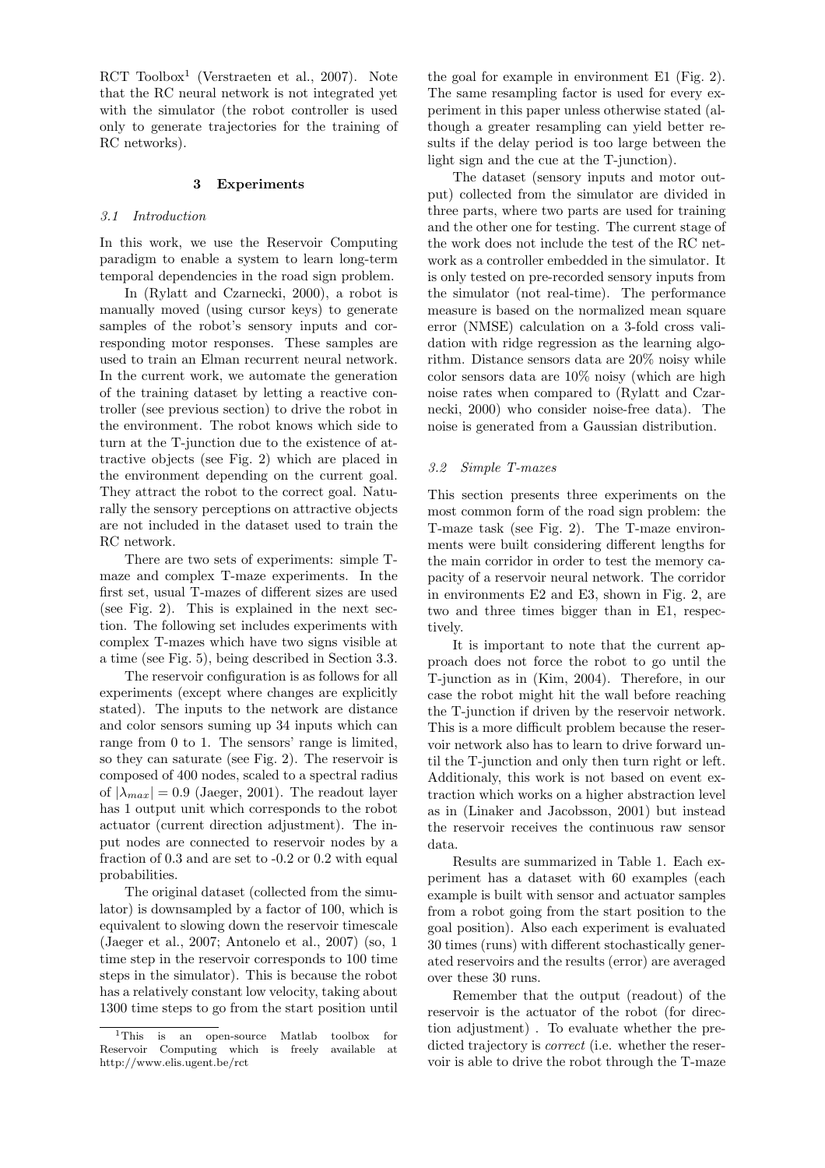RCT Toolbox<sup>1</sup> (Verstraeten et al., 2007). Note that the RC neural network is not integrated yet with the simulator (the robot controller is used only to generate trajectories for the training of RC networks).

# 3 Experiments

### 3.1 Introduction

In this work, we use the Reservoir Computing paradigm to enable a system to learn long-term temporal dependencies in the road sign problem.

In (Rylatt and Czarnecki, 2000), a robot is manually moved (using cursor keys) to generate samples of the robot's sensory inputs and corresponding motor responses. These samples are used to train an Elman recurrent neural network. In the current work, we automate the generation of the training dataset by letting a reactive controller (see previous section) to drive the robot in the environment. The robot knows which side to turn at the T-junction due to the existence of attractive objects (see Fig. 2) which are placed in the environment depending on the current goal. They attract the robot to the correct goal. Naturally the sensory perceptions on attractive objects are not included in the dataset used to train the RC network.

There are two sets of experiments: simple Tmaze and complex T-maze experiments. In the first set, usual T-mazes of different sizes are used (see Fig. 2). This is explained in the next section. The following set includes experiments with complex T-mazes which have two signs visible at a time (see Fig. 5), being described in Section 3.3.

The reservoir configuration is as follows for all experiments (except where changes are explicitly stated). The inputs to the network are distance and color sensors suming up 34 inputs which can range from 0 to 1. The sensors' range is limited, so they can saturate (see Fig. 2). The reservoir is composed of 400 nodes, scaled to a spectral radius of  $|\lambda_{max}| = 0.9$  (Jaeger, 2001). The readout layer has 1 output unit which corresponds to the robot actuator (current direction adjustment). The input nodes are connected to reservoir nodes by a fraction of 0.3 and are set to -0.2 or 0.2 with equal probabilities.

The original dataset (collected from the simulator) is downsampled by a factor of 100, which is equivalent to slowing down the reservoir timescale (Jaeger et al., 2007; Antonelo et al., 2007) (so, 1 time step in the reservoir corresponds to 100 time steps in the simulator). This is because the robot has a relatively constant low velocity, taking about 1300 time steps to go from the start position until

the goal for example in environment E1 (Fig. 2). The same resampling factor is used for every experiment in this paper unless otherwise stated (although a greater resampling can yield better results if the delay period is too large between the light sign and the cue at the T-junction).

The dataset (sensory inputs and motor output) collected from the simulator are divided in three parts, where two parts are used for training and the other one for testing. The current stage of the work does not include the test of the RC network as a controller embedded in the simulator. It is only tested on pre-recorded sensory inputs from the simulator (not real-time). The performance measure is based on the normalized mean square error (NMSE) calculation on a 3-fold cross validation with ridge regression as the learning algorithm. Distance sensors data are 20% noisy while color sensors data are 10% noisy (which are high noise rates when compared to (Rylatt and Czarnecki, 2000) who consider noise-free data). The noise is generated from a Gaussian distribution.

# 3.2 Simple T-mazes

This section presents three experiments on the most common form of the road sign problem: the T-maze task (see Fig. 2). The T-maze environments were built considering different lengths for the main corridor in order to test the memory capacity of a reservoir neural network. The corridor in environments E2 and E3, shown in Fig. 2, are two and three times bigger than in E1, respectively.

It is important to note that the current approach does not force the robot to go until the T-junction as in (Kim, 2004). Therefore, in our case the robot might hit the wall before reaching the T-junction if driven by the reservoir network. This is a more difficult problem because the reservoir network also has to learn to drive forward until the T-junction and only then turn right or left. Additionaly, this work is not based on event extraction which works on a higher abstraction level as in (Linaker and Jacobsson, 2001) but instead the reservoir receives the continuous raw sensor data.

Results are summarized in Table 1. Each experiment has a dataset with 60 examples (each example is built with sensor and actuator samples from a robot going from the start position to the goal position). Also each experiment is evaluated 30 times (runs) with different stochastically generated reservoirs and the results (error) are averaged over these 30 runs.

Remember that the output (readout) of the reservoir is the actuator of the robot (for direction adjustment) . To evaluate whether the predicted trajectory is correct (i.e. whether the reservoir is able to drive the robot through the T-maze

<sup>&</sup>lt;sup>1</sup>This is an open-source Matlab toolbox for Reservoir Computing which is freely available at http://www.elis.ugent.be/rct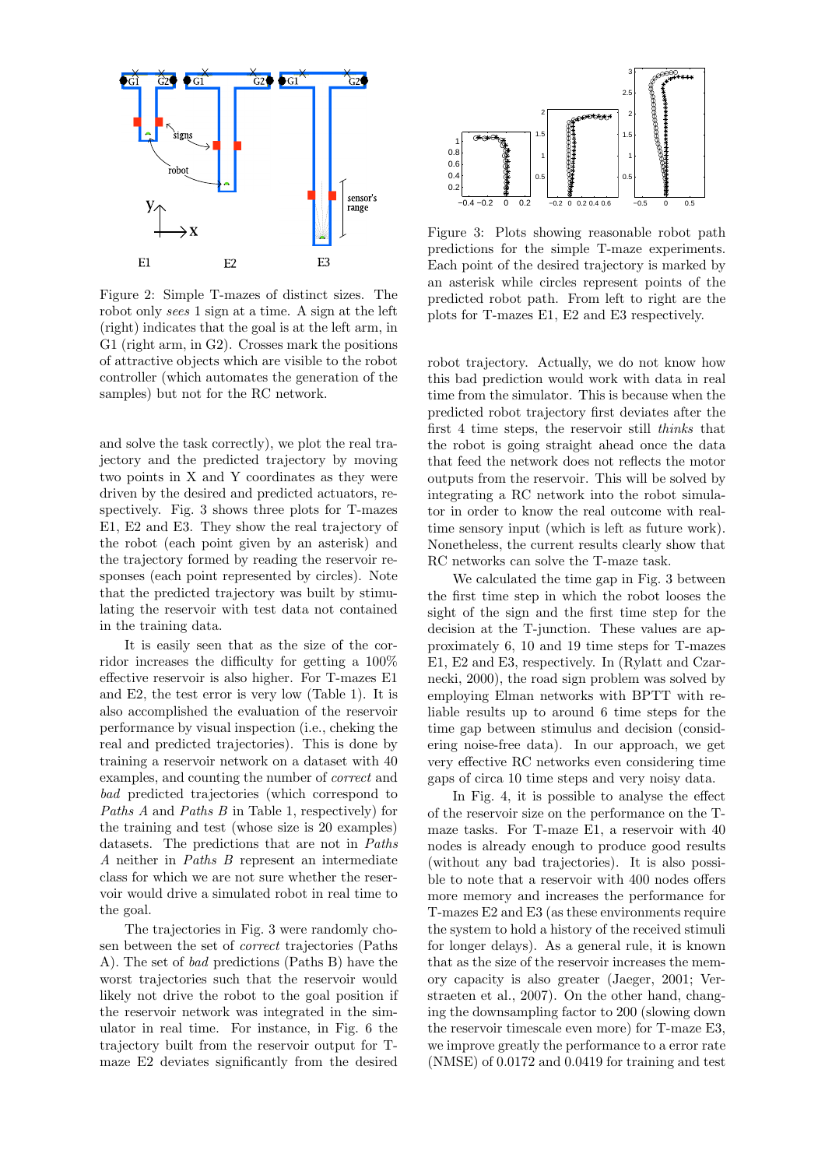

Figure 2: Simple T-mazes of distinct sizes. The robot only sees 1 sign at a time. A sign at the left (right) indicates that the goal is at the left arm, in G1 (right arm, in G2). Crosses mark the positions of attractive objects which are visible to the robot controller (which automates the generation of the samples) but not for the RC network.

and solve the task correctly), we plot the real trajectory and the predicted trajectory by moving two points in X and Y coordinates as they were driven by the desired and predicted actuators, respectively. Fig. 3 shows three plots for T-mazes E1, E2 and E3. They show the real trajectory of the robot (each point given by an asterisk) and the trajectory formed by reading the reservoir responses (each point represented by circles). Note that the predicted trajectory was built by stimulating the reservoir with test data not contained in the training data.

It is easily seen that as the size of the corridor increases the difficulty for getting a 100% effective reservoir is also higher. For T-mazes E1 and E2, the test error is very low (Table 1). It is also accomplished the evaluation of the reservoir performance by visual inspection (i.e., cheking the real and predicted trajectories). This is done by training a reservoir network on a dataset with 40 examples, and counting the number of correct and bad predicted trajectories (which correspond to Paths A and Paths B in Table 1, respectively) for the training and test (whose size is 20 examples) datasets. The predictions that are not in Paths A neither in Paths B represent an intermediate class for which we are not sure whether the reservoir would drive a simulated robot in real time to the goal.

The trajectories in Fig. 3 were randomly chosen between the set of correct trajectories (Paths A). The set of bad predictions (Paths B) have the worst trajectories such that the reservoir would likely not drive the robot to the goal position if the reservoir network was integrated in the simulator in real time. For instance, in Fig. 6 the trajectory built from the reservoir output for Tmaze E2 deviates significantly from the desired



Figure 3: Plots showing reasonable robot path predictions for the simple T-maze experiments. Each point of the desired trajectory is marked by an asterisk while circles represent points of the predicted robot path. From left to right are the plots for T-mazes E1, E2 and E3 respectively.

robot trajectory. Actually, we do not know how this bad prediction would work with data in real time from the simulator. This is because when the predicted robot trajectory first deviates after the first 4 time steps, the reservoir still thinks that the robot is going straight ahead once the data that feed the network does not reflects the motor outputs from the reservoir. This will be solved by integrating a RC network into the robot simulator in order to know the real outcome with realtime sensory input (which is left as future work). Nonetheless, the current results clearly show that RC networks can solve the T-maze task.

We calculated the time gap in Fig. 3 between the first time step in which the robot looses the sight of the sign and the first time step for the decision at the T-junction. These values are approximately 6, 10 and 19 time steps for T-mazes E1, E2 and E3, respectively. In (Rylatt and Czarnecki, 2000), the road sign problem was solved by employing Elman networks with BPTT with reliable results up to around 6 time steps for the time gap between stimulus and decision (considering noise-free data). In our approach, we get very effective RC networks even considering time gaps of circa 10 time steps and very noisy data.

In Fig. 4, it is possible to analyse the effect of the reservoir size on the performance on the Tmaze tasks. For T-maze E1, a reservoir with 40 nodes is already enough to produce good results (without any bad trajectories). It is also possible to note that a reservoir with 400 nodes offers more memory and increases the performance for T-mazes E2 and E3 (as these environments require the system to hold a history of the received stimuli for longer delays). As a general rule, it is known that as the size of the reservoir increases the memory capacity is also greater (Jaeger, 2001; Verstraeten et al., 2007). On the other hand, changing the downsampling factor to 200 (slowing down the reservoir timescale even more) for T-maze E3, we improve greatly the performance to a error rate (NMSE) of 0.0172 and 0.0419 for training and test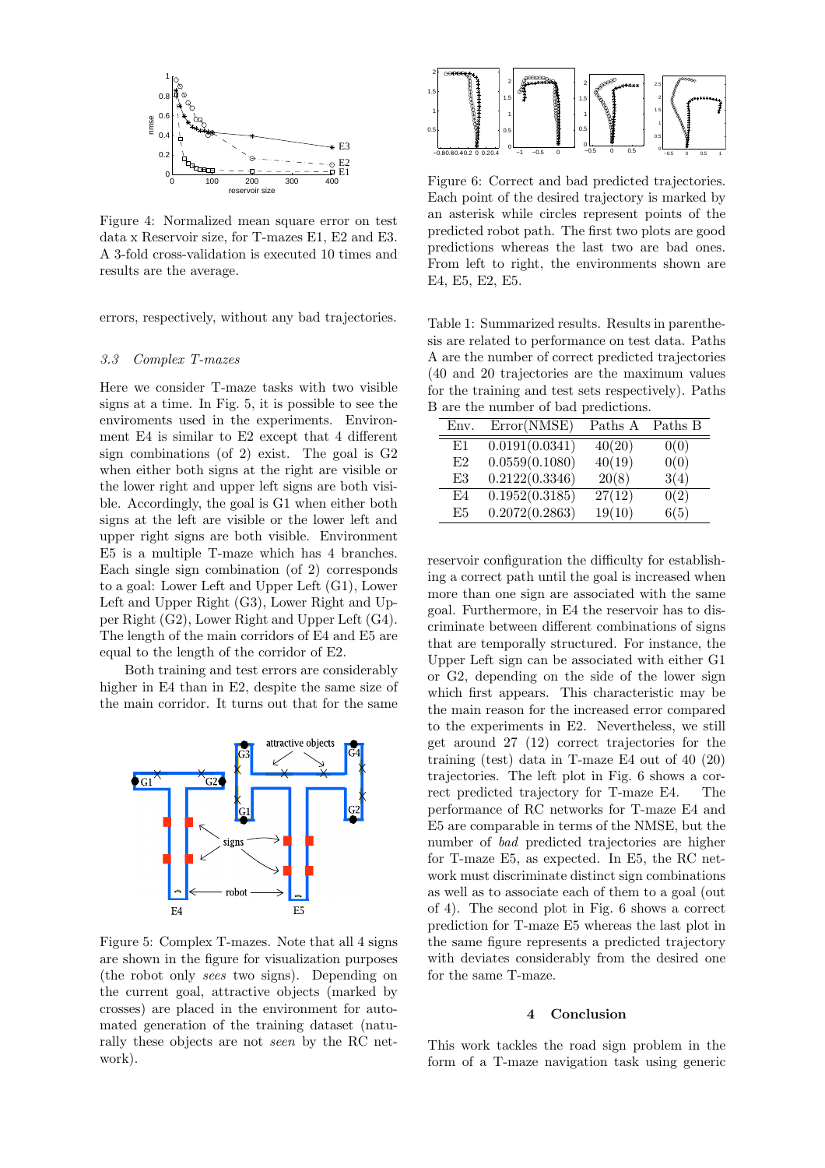

Figure 4: Normalized mean square error on test data x Reservoir size, for T-mazes E1, E2 and E3. A 3-fold cross-validation is executed 10 times and results are the average.

errors, respectively, without any bad trajectories.

# 3.3 Complex T-mazes

Here we consider T-maze tasks with two visible signs at a time. In Fig. 5, it is possible to see the enviroments used in the experiments. Environment E4 is similar to E2 except that 4 different sign combinations (of 2) exist. The goal is G2 when either both signs at the right are visible or the lower right and upper left signs are both visible. Accordingly, the goal is G1 when either both signs at the left are visible or the lower left and upper right signs are both visible. Environment E5 is a multiple T-maze which has 4 branches. Each single sign combination (of 2) corresponds to a goal: Lower Left and Upper Left (G1), Lower Left and Upper Right (G3), Lower Right and Upper Right (G2), Lower Right and Upper Left (G4). The length of the main corridors of E4 and E5 are equal to the length of the corridor of E2.

Both training and test errors are considerably higher in E4 than in E2, despite the same size of the main corridor. It turns out that for the same



Figure 5: Complex T-mazes. Note that all 4 signs are shown in the figure for visualization purposes (the robot only sees two signs). Depending on the current goal, attractive objects (marked by crosses) are placed in the environment for automated generation of the training dataset (naturally these objects are not seen by the RC network).



Figure 6: Correct and bad predicted trajectories. Each point of the desired trajectory is marked by an asterisk while circles represent points of the predicted robot path. The first two plots are good predictions whereas the last two are bad ones. From left to right, the environments shown are E4, E5, E2, E5.

Table 1: Summarized results. Results in parenthesis are related to performance on test data. Paths A are the number of correct predicted trajectories (40 and 20 trajectories are the maximum values for the training and test sets respectively). Paths B are the number of bad predictions.

| Env. | Error(NMSE)    | Paths A             | Paths B |
|------|----------------|---------------------|---------|
| E1   | 0.0191(0.0341) | 40(20)              | 0(0)    |
| E2   | 0.0559(0.1080) | 40(19)              | 0(0)    |
| E3   | 0.2122(0.3346) | 20(8)               | 3(4)    |
| E4   | 0.1952(0.3185) | $\overline{27}(12)$ | 0(2)    |
| E5   | 0.2072(0.2863) | 19(10)              | 6(5)    |

reservoir configuration the difficulty for establishing a correct path until the goal is increased when more than one sign are associated with the same goal. Furthermore, in E4 the reservoir has to discriminate between different combinations of signs that are temporally structured. For instance, the Upper Left sign can be associated with either G1 or G2, depending on the side of the lower sign which first appears. This characteristic may be the main reason for the increased error compared to the experiments in E2. Nevertheless, we still get around 27 (12) correct trajectories for the training (test) data in T-maze E4 out of 40 (20) trajectories. The left plot in Fig. 6 shows a correct predicted trajectory for T-maze E4. The performance of RC networks for T-maze E4 and E5 are comparable in terms of the NMSE, but the number of bad predicted trajectories are higher for T-maze E5, as expected. In E5, the RC network must discriminate distinct sign combinations as well as to associate each of them to a goal (out of 4). The second plot in Fig. 6 shows a correct prediction for T-maze E5 whereas the last plot in the same figure represents a predicted trajectory with deviates considerably from the desired one for the same T-maze.

## 4 Conclusion

This work tackles the road sign problem in the form of a T-maze navigation task using generic